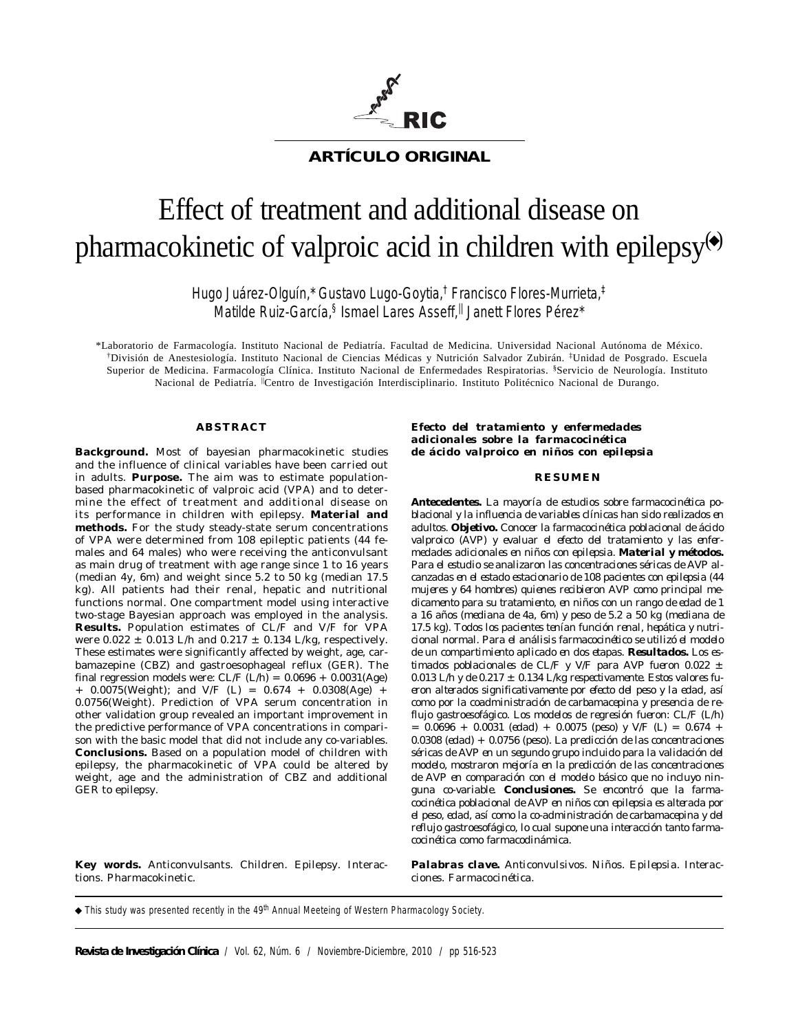

## **ARTÍCULO ORIGINAL**

# Effect of treatment and additional disease on pharmacokinetic of valproic acid in children with epilepsy $\ddot{\boldsymbol{\cdot}}$

Hugo Juárez-Olguín,\* Gustavo Lugo-Goytia,† Francisco Flores-Murrieta,‡ Matilde Ruiz-García,§ Ismael Lares Asseff,<sup>||</sup> Janett Flores Pérez\*

\*Laboratorio de Farmacología. Instituto Nacional de Pediatría. Facultad de Medicina. Universidad Nacional Autónoma de México. †División de Anestesiología. Instituto Nacional de Ciencias Médicas y Nutrición Salvador Zubirán. ‡Unidad de Posgrado. Escuela Superior de Medicina. Farmacología Clínica. Instituto Nacional de Enfermedades Respiratorias. §Servicio de Neurología. Instituto Nacional de Pediatría. <sup>||</sup>Centro de Investigación Interdisciplinario. Instituto Politécnico Nacional de Durango.

#### **ABSTRACT**

**Background.** Most of bayesian pharmacokinetic studies and the influence of clinical variables have been carried out in adults. **Purpose.** The aim was to estimate populationbased pharmacokinetic of valproic acid (VPA) and to determine the effect of treatment and additional disease on its performance in children with epilepsy. **Material and methods.** For the study steady-state serum concentrations of VPA were determined from 108 epileptic patients (44 females and 64 males) who were receiving the anticonvulsant as main drug of treatment with age range since 1 to 16 years (median 4y, 6m) and weight since 5.2 to 50 kg (median 17.5 kg). All patients had their renal, hepatic and nutritional functions normal. One compartment model using interactive two-stage Bayesian approach was employed in the analysis. **Results.** Population estimates of CL/F and V/F for VPA were  $0.022 \pm 0.013$  L/h and  $0.217 \pm 0.134$  L/kg, respectively. These estimates were significantly affected by weight, age, carbamazepine (CBZ) and gastroesophageal reflux (GER). The final regression models were:  $CL/F (L/h) = 0.0696 + 0.0031(Age)$  $+$  0.0075(Weight); and V/F (L) = 0.674  $+$  0.0308(Age)  $+$ 0.0756(Weight). Prediction of VPA serum concentration in other validation group revealed an important improvement in the predictive performance of VPA concentrations in comparison with the basic model that did not include any co-variables. **Conclusions.** Based on a population model of children with epilepsy, the pharmacokinetic of VPA could be altered by weight, age and the administration of CBZ and additional GER to epilepsy.

**Key words.** Anticonvulsants. Children. Epilepsy. Interactions. Pharmacokinetic.

*Efecto del tratamiento y enfermedades adicionales sobre la farmacocinética de ácido valproico en niños con epilepsia*

#### *RESUMEN*

*Antecedentes. La mayoría de estudios sobre farmacocinética poblacional y la influencia de variables clínicas han sido realizados en adultos. Objetivo. Conocer la farmacocinética poblacional de ácido valproico (AVP) y evaluar el efecto del tratamiento y las enfermedades adicionales en niños con epilepsia. Material y métodos. Para el estudio se analizaron las concentraciones séricas de AVP alcanzadas en el estado estacionario de 108 pacientes con epilepsia (44 mujeres y 64 hombres) quienes recibieron AVP como principal medicamento para su tratamiento, en niños con un rango de edad de 1 a 16 años (mediana de 4a, 6m) y peso de 5.2 a 50 kg (mediana de 17.5 kg). Todos los pacientes tenían función renal, hepática y nutricional normal. Para el análisis farmacocinético se utilizó el modelo de un compartimiento aplicado en dos etapas. Resultados. Los estimados poblacionales de CL/F y V/F para AVP fueron 0.022 ±* 0.013 L/h y de  $0.217 \pm 0.134$  L/kg respectivamente. Estos valores fu*eron alterados significativamente por efecto del peso y la edad, así como por la coadministración de carbamacepina y presencia de reflujo gastroesofágico. Los modelos de regresión fueron: CL/F (L/h) = 0.0696 + 0.0031 (edad) + 0.0075 (peso) y V/F (L) = 0.674 + 0.0308 (edad) + 0.0756 (peso). La predicción de las concentraciones séricas de AVP en un segundo grupo incluido para la validación del modelo, mostraron mejoría en la predicción de las concentraciones de AVP en comparación con el modelo básico que no incluyo ninguna co-variable. Conclusiones. Se encontró que la farmacocinética poblacional de AVP en niños con epilepsia es alterada por el peso, edad, así como la co-administración de carbamacepina y del reflujo gastroesofágico, lo cual supone una interacción tanto farmacocinética como farmacodinámica.*

*Palabras clave. Anticonvulsivos. Niños. Epilepsia. Interacciones. Farmacocinética.*

 $\blacklozenge$  This study was presented recently in the 49<sup>th</sup> Annual Meeteing of Western Pharmacology Society.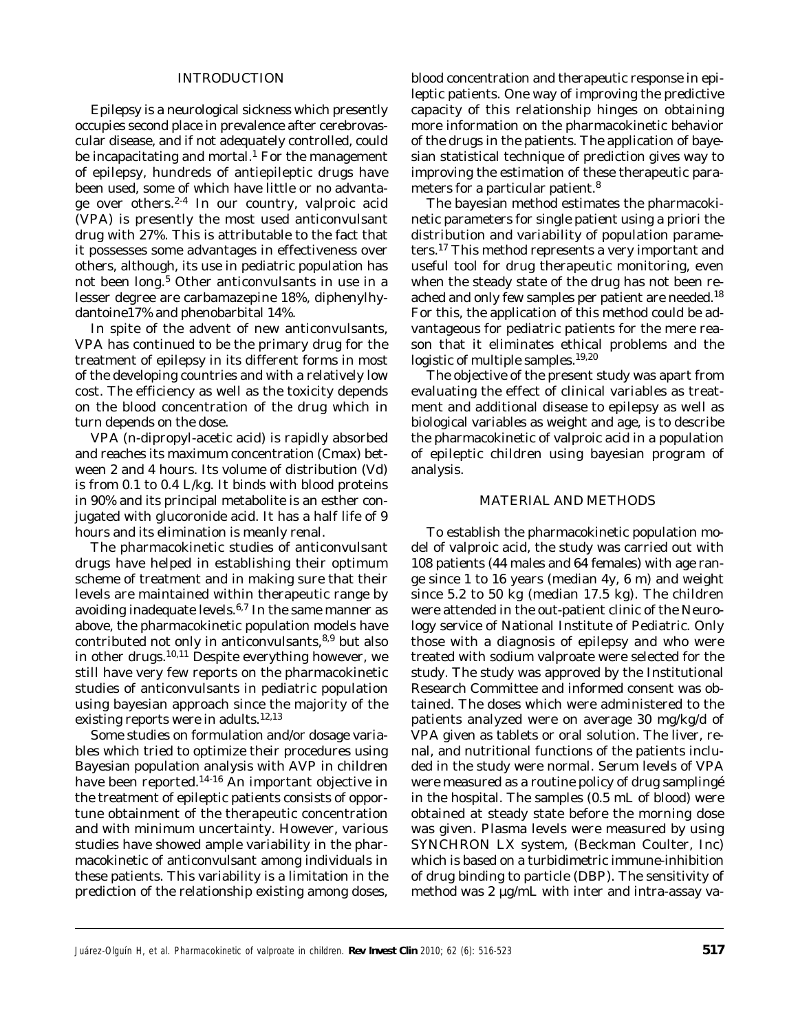#### INTRODUCTION

Epilepsy is a neurological sickness which presently occupies second place in prevalence after cerebrovascular disease, and if not adequately controlled, could be incapacitating and mortal.<sup>1</sup> For the management of epilepsy, hundreds of antiepileptic drugs have been used, some of which have little or no advantage over others.2-4 In our country, valproic acid (VPA) is presently the most used anticonvulsant drug with 27%. This is attributable to the fact that it possesses some advantages in effectiveness over others, although, its use in pediatric population has not been long.<sup>5</sup> Other anticonvulsants in use in a lesser degree are carbamazepine 18%, diphenylhydantoine17% and phenobarbital 14%.

In spite of the advent of new anticonvulsants, VPA has continued to be the primary drug for the treatment of epilepsy in its different forms in most of the developing countries and with a relatively low cost. The efficiency as well as the toxicity depends on the blood concentration of the drug which in turn depends on the dose.

VPA (n-dipropyl-acetic acid) is rapidly absorbed and reaches its maximum concentration (Cmax) between 2 and 4 hours. Its volume of distribution (Vd) is from 0.1 to 0.4 L/kg. It binds with blood proteins in 90% and its principal metabolite is an esther conjugated with glucoronide acid. It has a half life of 9 hours and its elimination is meanly renal.

The pharmacokinetic studies of anticonvulsant drugs have helped in establishing their optimum scheme of treatment and in making sure that their levels are maintained within therapeutic range by avoiding inadequate levels. $6,7$  In the same manner as above, the pharmacokinetic population models have contributed not only in anticonvulsants,<sup>8,9</sup> but also in other drugs. $10,11$  Despite everything however, we still have very few reports on the pharmacokinetic studies of anticonvulsants in pediatric population using bayesian approach since the majority of the existing reports were in adults.<sup>12,13</sup>

Some studies on formulation and/or dosage variables which tried to optimize their procedures using Bayesian population analysis with AVP in children have been reported.<sup>14-16</sup> An important objective in the treatment of epileptic patients consists of opportune obtainment of the therapeutic concentration and with minimum uncertainty. However, various studies have showed ample variability in the pharmacokinetic of anticonvulsant among individuals in these patients. This variability is a limitation in the prediction of the relationship existing among doses,

blood concentration and therapeutic response in epileptic patients. One way of improving the predictive capacity of this relationship hinges on obtaining more information on the pharmacokinetic behavior of the drugs in the patients. The application of bayesian statistical technique of prediction gives way to improving the estimation of these therapeutic parameters for a particular patient.<sup>8</sup>

The bayesian method estimates the pharmacokinetic parameters for single patient using a priori the distribution and variability of population parameters.17 This method represents a very important and useful tool for drug therapeutic monitoring, even when the steady state of the drug has not been reached and only few samples per patient are needed.<sup>18</sup> For this, the application of this method could be advantageous for pediatric patients for the mere reason that it eliminates ethical problems and the logistic of multiple samples.19,20

The objective of the present study was apart from evaluating the effect of clinical variables as treatment and additional disease to epilepsy as well as biological variables as weight and age, is to describe the pharmacokinetic of valproic acid in a population of epileptic children using bayesian program of analysis.

#### MATERIAL AND METHODS

To establish the pharmacokinetic population model of valproic acid, the study was carried out with 108 patients (44 males and 64 females) with age range since 1 to 16 years (median 4y, 6 m) and weight since 5.2 to 50 kg (median 17.5 kg). The children were attended in the out-patient clinic of the Neurology service of National Institute of Pediatric. Only those with a diagnosis of epilepsy and who were treated with sodium valproate were selected for the study. The study was approved by the Institutional Research Committee and informed consent was obtained. The doses which were administered to the patients analyzed were on average 30 mg/kg/d of VPA given as tablets or oral solution. The liver, renal, and nutritional functions of the patients included in the study were normal. Serum levels of VPA were measured as a routine policy of drug samplingé in the hospital. The samples (0.5 mL of blood) were obtained at steady state before the morning dose was given. Plasma levels were measured by using SYNCHRON LX system, (Beckman Coulter, Inc) which is based on a turbidimetric immune-inhibition of drug binding to particle (DBP). The sensitivity of method was 2 μg/mL with inter and intra-assay va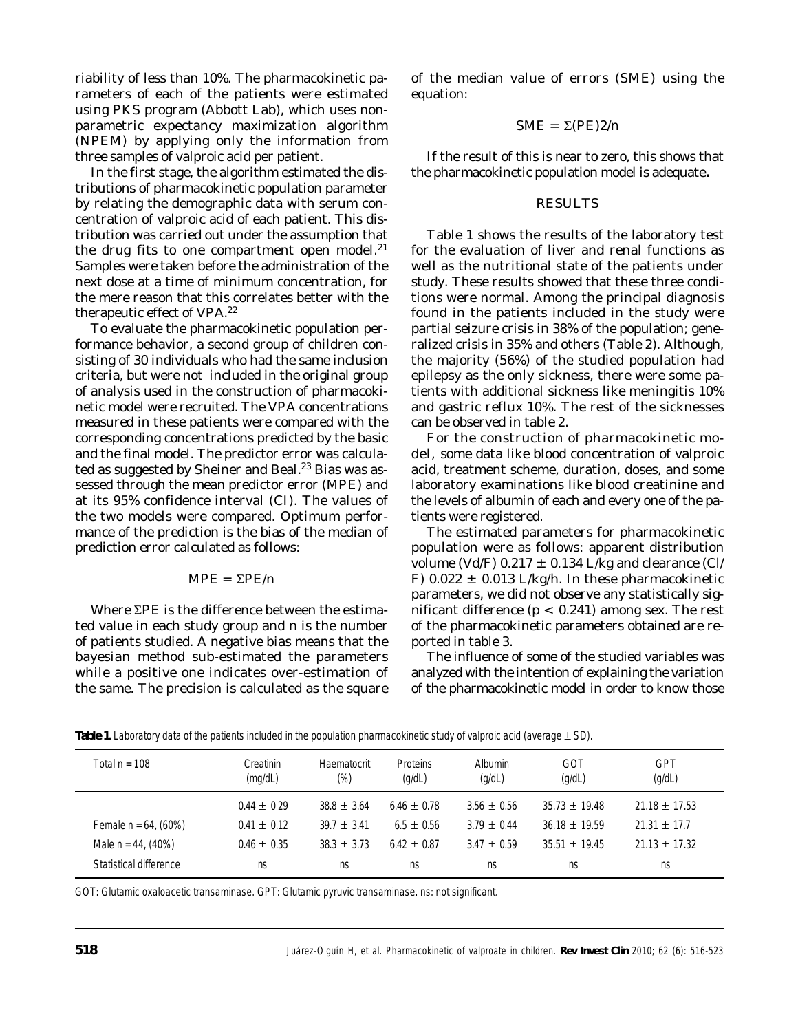riability of less than 10%. The pharmacokinetic parameters of each of the patients were estimated using PKS program (Abbott Lab), which uses nonparametric expectancy maximization algorithm (NPEM) by applying only the information from three samples of valproic acid per patient.

In the first stage, the algorithm estimated the distributions of pharmacokinetic population parameter by relating the demographic data with serum concentration of valproic acid of each patient. This distribution was carried out under the assumption that the drug fits to one compartment open model. $21$ Samples were taken before the administration of the next dose at a time of minimum concentration, for the mere reason that this correlates better with the therapeutic effect of VPA.22

To evaluate the pharmacokinetic population performance behavior, a second group of children consisting of 30 individuals who had the same inclusion criteria, but were not included in the original group of analysis used in the construction of pharmacokinetic model were recruited. The VPA concentrations measured in these patients were compared with the corresponding concentrations predicted by the basic and the final model. The predictor error was calculated as suggested by Sheiner and Beal.<sup>23</sup> Bias was assessed through the mean predictor error (MPE) and at its 95% confidence interval (CI). The values of the two models were compared. Optimum performance of the prediction is the bias of the median of prediction error calculated as follows:

#### $MPE = ΣPE/n$

Where ΣPE is the difference between the estimated value in each study group and n is the number of patients studied. A negative bias means that the bayesian method sub-estimated the parameters while a positive one indicates over-estimation of the same. The precision is calculated as the square

of the median value of errors (SME) using the equation:

$$
SME = \Sigma (PE) 2/n
$$

If the result of this is near to zero, this shows that the pharmacokinetic population model is adequate**.**

## RESULTS

Table 1 shows the results of the laboratory test for the evaluation of liver and renal functions as well as the nutritional state of the patients under study. These results showed that these three conditions were normal. Among the principal diagnosis found in the patients included in the study were partial seizure crisis in 38% of the population; generalized crisis in 35% and others (Table 2). Although, the majority (56%) of the studied population had epilepsy as the only sickness, there were some patients with additional sickness like meningitis 10% and gastric reflux 10%. The rest of the sicknesses can be observed in table 2.

For the construction of pharmacokinetic model, some data like blood concentration of valproic acid, treatment scheme, duration, doses, and some laboratory examinations like blood creatinine and the levels of albumin of each and every one of the patients were registered.

The estimated parameters for pharmacokinetic population were as follows: apparent distribution volume (Vd/F)  $0.217 \pm 0.134$  L/kg and clearance (Cl/ F)  $0.022 \pm 0.013$  L/kg/h. In these pharmacokinetic parameters, we did not observe any statistically significant difference  $(p < 0.241)$  among sex. The rest of the pharmacokinetic parameters obtained are reported in table 3.

The influence of some of the studied variables was analyzed with the intention of explaining the variation of the pharmacokinetic model in order to know those

| Total $n = 108$         | Creatinin<br>(mq/dL) | Haematocrit<br>(%) | <b>Proteins</b><br>(q/dL) | Albumin<br>(q/dL) | GOT<br>(q/dL)     | GPT<br>(q/dL)     |
|-------------------------|----------------------|--------------------|---------------------------|-------------------|-------------------|-------------------|
|                         | $0.44 \pm 0.29$      | $38.8 \pm 3.64$    | $6.46 + 0.78$             | $3.56 \pm 0.56$   | $35.73 \pm 19.48$ | $21.18 \pm 17.53$ |
| Female $n = 64$ , (60%) | $0.41 \pm 0.12$      | $39.7 + 3.41$      | $6.5 + 0.56$              | $3.79 + 0.44$     | $36.18 \pm 19.59$ | $21.31 \pm 17.7$  |
| Male $n = 44$ , (40%)   | $0.46 \pm 0.35$      | $38.3 + 3.73$      | $6.42 + 0.87$             | $3.47 + 0.59$     | $35.51 + 19.45$   | $21.13 \pm 17.32$ |
| Statistical difference  | ns                   | ns                 | ns                        | ns                | ns                | ns                |

**Table 1.** Laboratory data of the patients included in the population pharmacokinetic study of valproic acid (average ± SD).

GOT: Glutamic oxaloacetic transaminase. GPT: Glutamic pyruvic transaminase. ns: not significant.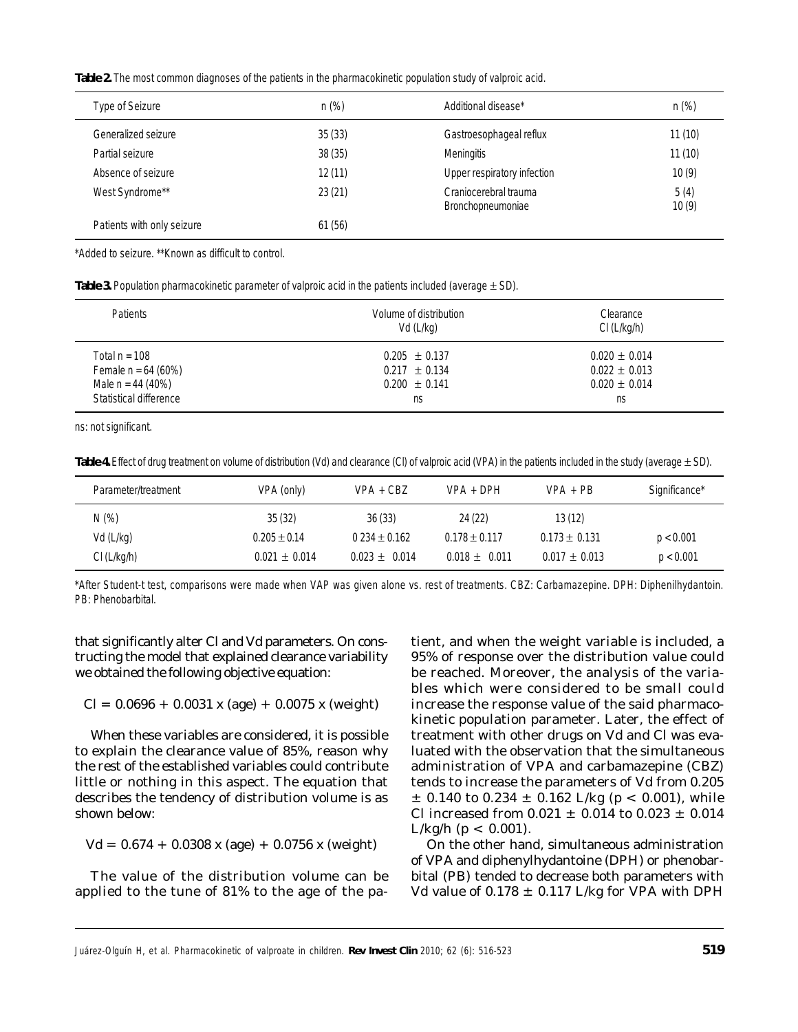**Table 2.** The most common diagnoses of the patients in the pharmacokinetic population study of valproic acid.

| Type of Seizure            | $n$ (%) | Additional disease*                        | $n (\%)$      |
|----------------------------|---------|--------------------------------------------|---------------|
| Generalized seizure        | 35(33)  | Gastroesophageal reflux                    | 11(10)        |
| Partial seizure            | 38(35)  | <b>Meningitis</b>                          | 11(10)        |
| Absence of seizure         | 12(11)  | Upper respiratory infection                | 10(9)         |
| West Syndrome**            | 23(21)  | Craniocerebral trauma<br>Bronchopneumoniae | 5(4)<br>10(9) |
| Patients with only seizure | 61(56)  |                                            |               |

\*Added to seizure. \*\*Known as difficult to control.

**Table 3.** Population pharmacokinetic parameter of valproic acid in the patients included (average ± SD).

| Patients               | Volume of distribution<br>Vd (L/kg) | Clearance<br>Cl (L/kg/h) |
|------------------------|-------------------------------------|--------------------------|
| Total $n = 108$        | $0.205 \pm 0.137$                   | $0.020 \pm 0.014$        |
| Female $n = 64 (60%)$  | $0.217 \pm 0.134$                   | $0.022 \pm 0.013$        |
| Male $n = 44 (40%)$    | $0.200 \pm 0.141$                   | $0.020 \pm 0.014$        |
| Statistical difference | ns                                  | ns                       |

ns: not significant.

**Table 4.** Effect of drug treatment on volume of distribution (Vd) and clearance (Cl) of valproic acid (VPA) in the patients included in the study (average ± SD).

| Parameter/treatment | VPA (only)        | $VPA + CBZ$       | $VPA + DPH$       | $VPA + PB$        | Significance* |
|---------------------|-------------------|-------------------|-------------------|-------------------|---------------|
| N(%)                | 35(32)            | 36(33)            | 24 (22)           | 13(12)            |               |
| Vd (L/kg)           | $0.205 \pm 0.14$  | $0.234 \pm 0.162$ | $0.178 \pm 0.117$ | $0.173 \pm 0.131$ | p < 0.001     |
| Cl (L/kg/h)         | $0.021 \pm 0.014$ | $0.023 \pm 0.014$ | $0.018 \pm 0.011$ | $0.017 \pm 0.013$ | p < 0.001     |

\*After Student-t test, comparisons were made when VAP was given alone *vs.* rest of treatments. CBZ: Carbamazepine. DPH: Diphenilhydantoin. PB: Phenobarbital.

that significantly alter Cl and Vd parameters. On constructing the model that explained clearance variability we obtained the following objective equation:

$$
Cl = 0.0696 + 0.0031 \times (age) + 0.0075 \times (weight)
$$

When these variables are considered, it is possible to explain the clearance value of 85%, reason why the rest of the established variables could contribute little or nothing in this aspect. The equation that describes the tendency of distribution volume is as shown below:

 $Vd = 0.674 + 0.0308$  x (age) + 0.0756 x (weight)

The value of the distribution volume can be applied to the tune of 81% to the age of the patient, and when the weight variable is included, a 95% of response over the distribution value could be reached. Moreover, the analysis of the variables which were considered to be small could increase the response value of the said pharmacokinetic population parameter. Later, the effect of treatment with other drugs on Vd and Cl was evaluated with the observation that the simultaneous administration of VPA and carbamazepine (CBZ) tends to increase the parameters of Vd from 0.205  $\pm$  0.140 to 0.234  $\pm$  0.162 L/kg (p < 0.001), while Cl increased from  $0.021 \pm 0.014$  to  $0.023 \pm 0.014$  $L/kg/h$  (p < 0.001).

On the other hand, simultaneous administration of VPA and diphenylhydantoine (DPH) or phenobarbital (PB) tended to decrease both parameters with Vd value of  $0.178 \pm 0.117$  L/kg for VPA with DPH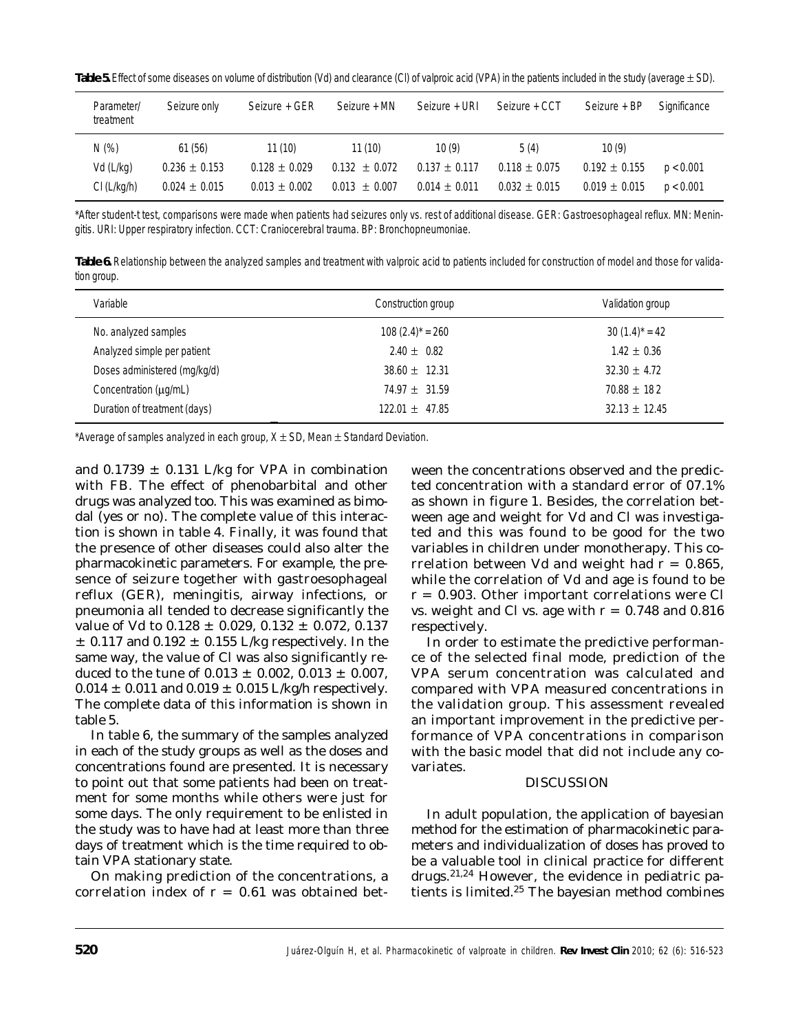**Table 5.** Effect of some diseases on volume of distribution (Vd) and clearance (Cl) of valproic acid (VPA) in the patients included in the study (average ± SD).

| Parameter/<br>treatment | Seizure only      | Seizure + GER     | Seizure + MN      | Seizure + URI     | Seizure + CCT     | Seizure + BP      | Significance |
|-------------------------|-------------------|-------------------|-------------------|-------------------|-------------------|-------------------|--------------|
| N(%)                    | 61(56)            | 11(10)            | 11(10)            | 10(9)             | 5(4)              | 10(9)             |              |
| Vd (L/kg)               | $0.236 \pm 0.153$ | $0.128 \pm 0.029$ | $0.132 \pm 0.072$ | $0.137 \pm 0.117$ | $0.118 \pm 0.075$ | $0.192 \pm 0.155$ | p < 0.001    |
| Cl (L/kg/h)             | $0.024 \pm 0.015$ | $0.013 \pm 0.002$ | $0.013 \pm 0.007$ | $0.014 \pm 0.011$ | $0.032 \pm 0.015$ | $0.019 \pm 0.015$ | p < 0.001    |

\*After student-t test, comparisons were made when patients had seizures only *vs.* rest of additional disease. GER: Gastroesophageal reflux. MN: Meningitis. URI: Upper respiratory infection. CCT: Craniocerebral trauma. BP: Bronchopneumoniae.

**Table 6.** Relationship between the analyzed samples and treatment with valproic acid to patients included for construction of model and those for validation group.

| Variable                     | Construction group  | Validation group   |
|------------------------------|---------------------|--------------------|
| No. analyzed samples         | $108 (2.4)^* = 260$ | $30(1.4)^{*} = 42$ |
| Analyzed simple per patient  | $2.40 \pm 0.82$     | $1.42 \pm 0.36$    |
| Doses administered (mg/kg/d) | $38.60 \pm 12.31$   | $32.30 \pm 4.72$   |
| Concentration (µg/mL)        | $74.97 \pm 31.59$   | $70.88 \pm 182$    |
| Duration of treatment (days) | $122.01 \pm 47.85$  | $32.13 \pm 12.45$  |

\*Average of samples analyzed in each group,  $X \pm SD$ , Mean  $\pm$  Standard Deviation.

and  $0.1739 \pm 0.131$  L/kg for VPA in combination with FB. The effect of phenobarbital and other drugs was analyzed too. This was examined as bimodal (yes or no). The complete value of this interaction is shown in table 4. Finally, it was found that the presence of other diseases could also alter the pharmacokinetic parameters. For example, the presence of seizure together with gastroesophageal reflux (GER), meningitis, airway infections, or pneumonia all tended to decrease significantly the value of Vd to  $0.128 \pm 0.029$ ,  $0.132 \pm 0.072$ ,  $0.137$  $\pm$  0.117 and 0.192  $\pm$  0.155 L/kg respectively. In the same way, the value of Cl was also significantly reduced to the tune of  $0.013 \pm 0.002$ ,  $0.013 \pm 0.007$ ,  $0.014 \pm 0.011$  and  $0.019 \pm 0.015$  L/kg/h respectively. The complete data of this information is shown in table 5.

In table 6, the summary of the samples analyzed in each of the study groups as well as the doses and concentrations found are presented. It is necessary to point out that some patients had been on treatment for some months while others were just for some days. The only requirement to be enlisted in the study was to have had at least more than three days of treatment which is the time required to obtain VPA stationary state.

On making prediction of the concentrations, a correlation index of  $r = 0.61$  was obtained between the concentrations observed and the predicted concentration with a standard error of 07.1% as shown in figure 1. Besides, the correlation between age and weight for Vd and Cl was investigated and this was found to be good for the two variables in children under monotherapy. This correlation between Vd and weight had  $r = 0.865$ , while the correlation of Vd and age is found to be  $r = 0.903$ . Other important correlations were Cl *vs.* weight and Cl *vs.* age with  $r = 0.748$  and 0.816 respectively.

In order to estimate the predictive performance of the selected final mode, prediction of the VPA serum concentration was calculated and compared with VPA measured concentrations in the validation group. This assessment revealed an important improvement in the predictive performance of VPA concentrations in comparison with the basic model that did not include any covariates.

### DISCUSSION

In adult population, the application of bayesian method for the estimation of pharmacokinetic parameters and individualization of doses has proved to be a valuable tool in clinical practice for different drugs.21,24 However, the evidence in pediatric patients is limited.25 The bayesian method combines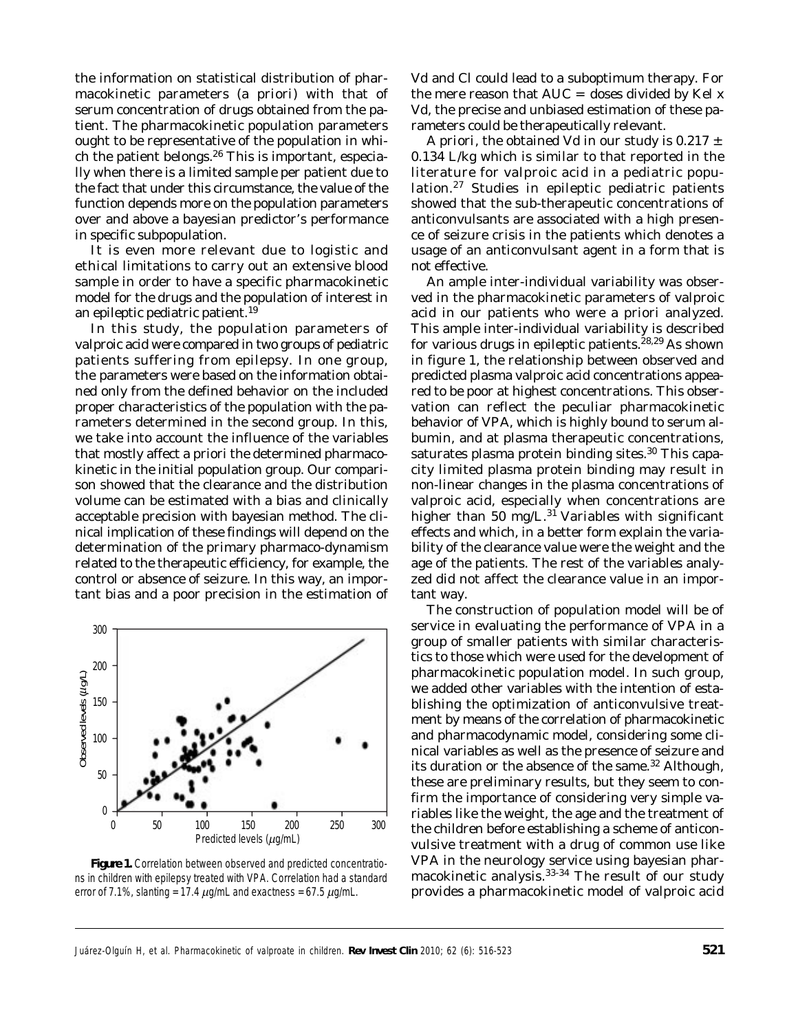the information on statistical distribution of pharmacokinetic parameters (*a priori*) with that of serum concentration of drugs obtained from the patient. The pharmacokinetic population parameters ought to be representative of the population in which the patient belongs.<sup>26</sup> This is important, especially when there is a limited sample per patient due to the fact that under this circumstance, the value of the function depends more on the population parameters over and above a bayesian predictor's performance in specific subpopulation.

It is even more relevant due to logistic and ethical limitations to carry out an extensive blood sample in order to have a specific pharmacokinetic model for the drugs and the population of interest in an epileptic pediatric patient.<sup>19</sup>

In this study, the population parameters of valproic acid were compared in two groups of pediatric patients suffering from epilepsy. In one group, the parameters were based on the information obtained only from the defined behavior on the included proper characteristics of the population with the parameters determined in the second group. In this, we take into account the influence of the variables that mostly affect a priori the determined pharmacokinetic in the initial population group. Our comparison showed that the clearance and the distribution volume can be estimated with a bias and clinically acceptable precision with bayesian method. The clinical implication of these findings will depend on the determination of the primary pharmaco-dynamism related to the therapeutic efficiency, for example, the control or absence of seizure. In this way, an important bias and a poor precision in the estimation of



*Figure 1. Correlation between observed and predicted concentrations in children with epilepsy treated with VPA. Correlation had a standard*

Vd and Cl could lead to a suboptimum therapy. For the mere reason that  $AUC =$  doses divided by Kel x Vd, the precise and unbiased estimation of these parameters could be therapeutically relevant.

*A priori*, the obtained Vd in our study is  $0.217 \pm 1$ 0.134 L/kg which is similar to that reported in the literature for valproic acid in a pediatric population.27 Studies in epileptic pediatric patients showed that the sub-therapeutic concentrations of anticonvulsants are associated with a high presence of seizure crisis in the patients which denotes a usage of an anticonvulsant agent in a form that is not effective.

An ample inter-individual variability was observed in the pharmacokinetic parameters of valproic acid in our patients who were a priori analyzed. This ample inter-individual variability is described for various drugs in epileptic patients.<sup>28,29</sup> As shown in figure 1, the relationship between observed and predicted plasma valproic acid concentrations appeared to be poor at highest concentrations. This observation can reflect the peculiar pharmacokinetic behavior of VPA, which is highly bound to serum albumin, and at plasma therapeutic concentrations, saturates plasma protein binding sites.<sup>30</sup> This capacity limited plasma protein binding may result in non-linear changes in the plasma concentrations of valproic acid, especially when concentrations are higher than 50 mg/ $L^{31}$  Variables with significant effects and which, in a better form explain the variability of the clearance value were the weight and the age of the patients. The rest of the variables analyzed did not affect the clearance value in an important way.

The construction of population model will be of service in evaluating the performance of VPA in a group of smaller patients with similar characteristics to those which were used for the development of pharmacokinetic population model. In such group, we added other variables with the intention of establishing the optimization of anticonvulsive treatment by means of the correlation of pharmacokinetic and pharmacodynamic model, considering some clinical variables as well as the presence of seizure and its duration or the absence of the same.<sup>32</sup> Although, these are preliminary results, but they seem to confirm the importance of considering very simple variables like the weight, the age and the treatment of the children before establishing a scheme of anticonvulsive treatment with a drug of common use like VPA in the neurology service using bayesian pharmacokinetic analysis.<sup>33-34</sup> The result of our study provides a pharmacokinetic model of valproic acid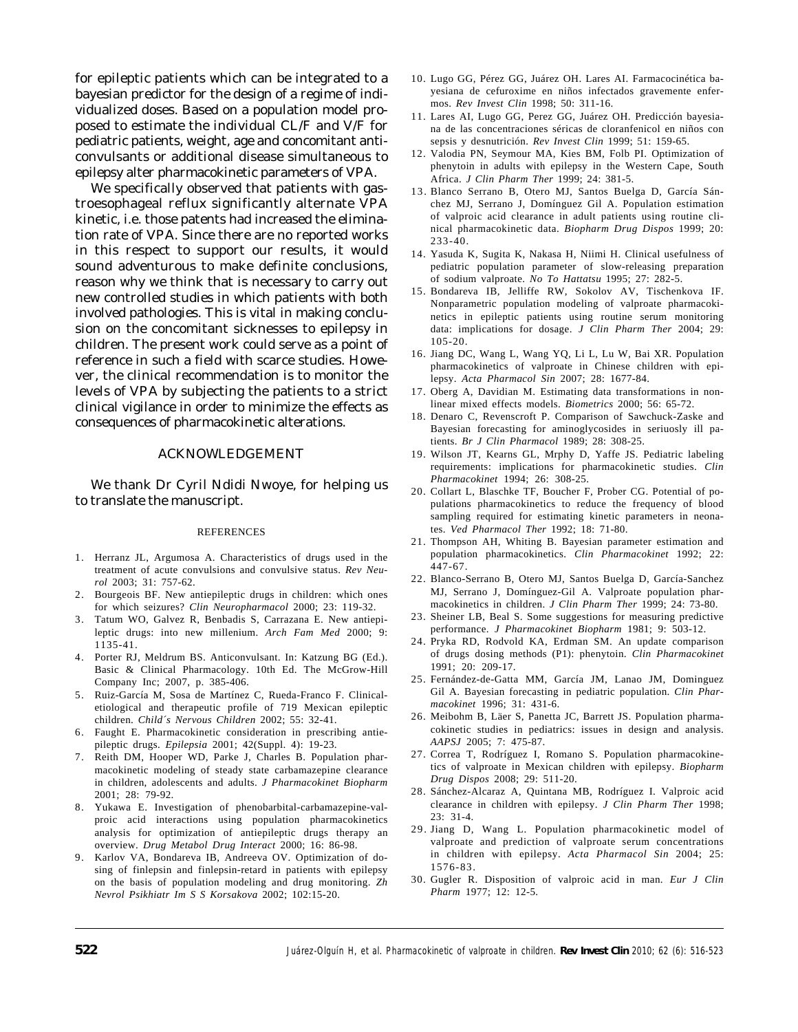for epileptic patients which can be integrated to a bayesian predictor for the design of a regime of individualized doses. Based on a population model proposed to estimate the individual CL/F and V/F for pediatric patients, weight, age and concomitant anticonvulsants or additional disease simultaneous to epilepsy alter pharmacokinetic parameters of VPA.

We specifically observed that patients with gastroesophageal reflux significantly alternate VPA kinetic, i.e. those patents had increased the elimination rate of VPA. Since there are no reported works in this respect to support our results, it would sound adventurous to make definite conclusions, reason why we think that is necessary to carry out new controlled studies in which patients with both involved pathologies. This is vital in making conclusion on the concomitant sicknesses to epilepsy in children. The present work could serve as a point of reference in such a field with scarce studies. However, the clinical recommendation is to monitor the levels of VPA by subjecting the patients to a strict clinical vigilance in order to minimize the effects as consequences of pharmacokinetic alterations.

#### ACKNOWLEDGEMENT

We thank Dr Cyril Ndidi Nwoye, for helping us to translate the manuscript.

#### REFERENCES

- 1. Herranz JL, Argumosa A. Characteristics of drugs used in the treatment of acute convulsions and convulsive status. *Rev Neurol* 2003; 31: 757-62.
- 2. Bourgeois BF. New antiepileptic drugs in children: which ones for which seizures? *Clin Neuropharmacol* 2000; 23: 119-32.
- 3. Tatum WO, Galvez R, Benbadis S, Carrazana E. New antiepileptic drugs: into new millenium. *Arch Fam Med* 2000; 9: 1135-41.
- 4. Porter RJ, Meldrum BS. Anticonvulsant. In: Katzung BG (Ed.). Basic & Clinical Pharmacology. 10th Ed. The McGrow-Hill Company Inc; 2007, p. 385-406.
- 5. Ruiz-García M, Sosa de Martínez C, Rueda-Franco F. Clinicaletiological and therapeutic profile of 719 Mexican epileptic children. *Child´s Nervous Children* 2002; 55: 32-41.
- 6. Faught E. Pharmacokinetic consideration in prescribing antiepileptic drugs. *Epilepsia* 2001; 42(Suppl. 4): 19-23.
- 7. Reith DM, Hooper WD, Parke J, Charles B. Population pharmacokinetic modeling of steady state carbamazepine clearance in children, adolescents and adults. *J Pharmacokinet Biopharm* 2001; 28: 79-92.
- 8. Yukawa E. Investigation of phenobarbital-carbamazepine-valproic acid interactions using population pharmacokinetics analysis for optimization of antiepileptic drugs therapy an overview. *Drug Metabol Drug Interact* 2000; 16: 86-98.
- 9. Karlov VA, Bondareva IB, Andreeva OV. Optimization of dosing of finlepsin and finlepsin-retard in patients with epilepsy on the basis of population modeling and drug monitoring. *Zh Nevrol Psikhiatr Im S S Korsakova* 2002; 102:15-20.
- 10. Lugo GG, Pérez GG, Juárez OH. Lares AI. Farmacocinética bayesiana de cefuroxime en niños infectados gravemente enfermos. *Rev Invest Clin* 1998; 50: 311-16.
- 11. Lares AI, Lugo GG, Perez GG, Juárez OH. Predicción bayesiana de las concentraciones séricas de cloranfenicol en niños con sepsis y desnutrición. *Rev Invest Clin* 1999; 51: 159-65.
- 12. Valodia PN, Seymour MA, Kies BM, Folb PI. Optimization of phenytoin in adults with epilepsy in the Western Cape, South Africa. *J Clin Pharm Ther* 1999; 24: 381-5.
- 13. Blanco Serrano B, Otero MJ, Santos Buelga D, García Sánchez MJ, Serrano J, Domínguez Gil A. Population estimation of valproic acid clearance in adult patients using routine clinical pharmacokinetic data. *Biopharm Drug Dispos* 1999; 20: 233-40.
- 14. Yasuda K, Sugita K, Nakasa H, Niimi H. Clinical usefulness of pediatric population parameter of slow-releasing preparation of sodium valproate. *No To Hattatsu* 1995; 27: 282-5.
- 15. Bondareva IB, Jelliffe RW, Sokolov AV, Tischenkova IF. Nonparametric population modeling of valproate pharmacokinetics in epileptic patients using routine serum monitoring data: implications for dosage. *J Clin Pharm Ther* 2004; 29: 105-20.
- 16. Jiang DC, Wang L, Wang YQ, Li L, Lu W, Bai XR. Population pharmacokinetics of valproate in Chinese children with epilepsy. *Acta Pharmacol Sin* 2007; 28: 1677-84.
- 17. Oberg A, Davidian M. Estimating data transformations in nonlinear mixed effects models. *Biometrics* 2000; 56: 65-72.
- 18. Denaro C, Revenscroft P. Comparison of Sawchuck-Zaske and Bayesian forecasting for aminoglycosides in seriuosly ill patients. *Br J Clin Pharmacol* 1989; 28: 308-25.
- 19. Wilson JT, Kearns GL, Mrphy D, Yaffe JS. Pediatric labeling requirements: implications for pharmacokinetic studies. *Clin Pharmacokinet* 1994; 26: 308-25.
- 20. Collart L, Blaschke TF, Boucher F, Prober CG. Potential of populations pharmacokinetics to reduce the frequency of blood sampling required for estimating kinetic parameters in neonates. *Ved Pharmacol Ther* 1992; 18: 71-80.
- 21. Thompson AH, Whiting B. Bayesian parameter estimation and population pharmacokinetics. *Clin Pharmacokinet* 1992; 22: 447-67.
- 22. Blanco-Serrano B, Otero MJ, Santos Buelga D, García-Sanchez MJ, Serrano J, Domínguez-Gil A. Valproate population pharmacokinetics in children. *J Clin Pharm Ther* 1999; 24: 73-80.
- 23. Sheiner LB, Beal S. Some suggestions for measuring predictive performance. *J Pharmacokinet Biopharm* 1981; 9: 503-12.
- 24. Pryka RD, Rodvold KA, Erdman SM. An update comparison of drugs dosing methods (P1): phenytoin. *Clin Pharmacokinet* 1991; 20: 209-17.
- 25. Fernández-de-Gatta MM, García JM, Lanao JM, Dominguez Gil A. Bayesian forecasting in pediatric population. *Clin Pharmacokinet* 1996; 31: 431-6.
- 26. Meibohm B, Läer S, Panetta JC, Barrett JS. Population pharmacokinetic studies in pediatrics: issues in design and analysis. *AAPSJ* 2005; 7: 475-87.
- 27. Correa T, Rodríguez I, Romano S. Population pharmacokinetics of valproate in Mexican children with epilepsy. *Biopharm Drug Dispos* 2008; 29: 511-20.
- 28. Sánchez-Alcaraz A, Quintana MB, Rodríguez I. Valproic acid clearance in children with epilepsy. *J Clin Pharm Ther* 1998; 23: 31-4.
- 29. Jiang D, Wang L. Population pharmacokinetic model of valproate and prediction of valproate serum concentrations in children with epilepsy. *Acta Pharmacol Sin* 2004; 25: 1576-83.
- 30. Gugler R. Disposition of valproic acid in man. *Eur J Clin Pharm* 1977; 12: 12-5.